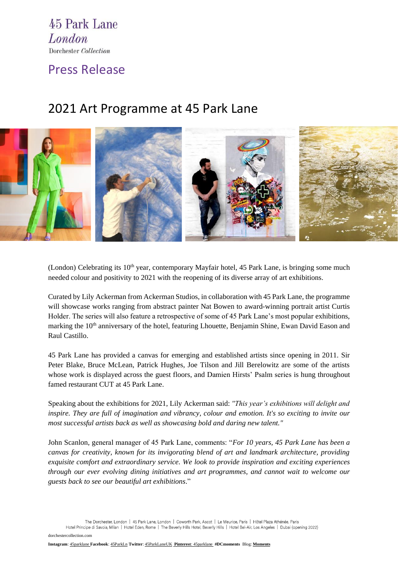45 Park Lane London Dorchester Collection

Press Release

## 2021 Art Programme at 45 Park Lane



(London) Celebrating its  $10<sup>th</sup>$  year, contemporary Mayfair hotel, [45 Park Lane,](https://www.dorchestercollection.com/en/london/45-park-lane/) is bringing some much needed colour and positivity to 2021 with the reopening of its diverse array of art exhibitions.

Curated by Lily Ackerman from Ackerman Studios, in collaboration with 45 Park Lane, the programme will showcase works ranging from abstract painter Nat Bowen to award-winning portrait artist Curtis Holder. The series will also feature a retrospective of some of 45 Park Lane's most popular exhibitions, marking the 10<sup>th</sup> anniversary of the hotel, featuring Lhouette, Benjamin Shine, Ewan David Eason and Raul Castillo.

45 Park Lane has provided a canvas for emerging and established artists since opening in 2011. Sir Peter Blake, Bruce McLean, Patrick Hughes, Joe Tilson and Jill Berelowitz are some of the artists whose work is displayed across the guest floors, and Damien Hirsts' Psalm series is hung throughout famed restaurant CUT at 45 Park Lane.

Speaking about the exhibitions for 2021, Lily Ackerman said: *"This year's exhibitions will delight and inspire. They are full of imagination and vibrancy, colour and emotion. It's so exciting to invite our most successful artists back as well as showcasing bold and daring new talent."*

John Scanlon, general manager of 45 Park Lane, comments: "*For 10 years, 45 Park Lane has been a canvas for creativity, known for its invigorating blend of art and landmark architecture, providing exquisite comfort and extraordinary service. We look to provide inspiration and exciting experiences through our ever evolving dining initiatives and art programmes, and cannot wait to welcome our guests back to see our beautiful art exhibitions*."

The Dorchester, London | 45 Park Lane, London | Coworth Park, Ascot | Le Meurice, Paris | Hôtel Plaza Athénée, Paris

Hotel Principe di Savoia, Milan | Hotel Eden, Rome | The Beverly Hills Hotel, Beverly Hills | Hotel Bel-Air, Los Angeles | Dubai (opening 2022)

[dorchestercollection.com](http://www.dorchestercollection.com/)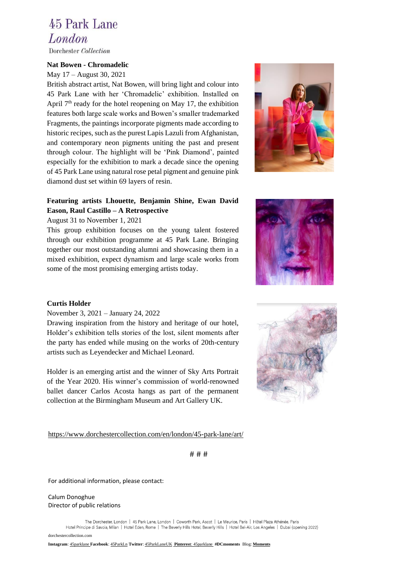# 45 Park Lane London

Dorchester Collection

#### **Nat Bowen - Chromadelic**

May 17 – August 30, 2021

British abstract artist, Nat Bowen, will bring light and colour into 45 Park Lane with her 'Chromadelic' exhibition. Installed on April  $7<sup>th</sup>$  ready for the hotel reopening on May 17, the exhibition features both large scale works and Bowen's smaller trademarked Fragments, the paintings incorporate pigments made according to historic recipes, such as the purest Lapis Lazuli from Afghanistan, and contemporary neon pigments uniting the past and present through colour. The highlight will be 'Pink Diamond', painted especially for the exhibition to mark a decade since the opening of 45 Park Lane using natural rose petal pigment and genuine pink diamond dust set within 69 layers of resin.

### **Featuring artists Lhouette, Benjamin Shine, Ewan David Eason, Raul Castillo – A Retrospective**

#### August 31 to November 1, 2021

This group exhibition focuses on the young talent fostered through our exhibition programme at 45 Park Lane. Bringing together our most outstanding alumni and showcasing them in a mixed exhibition, expect dynamism and large scale works from some of the most promising emerging artists today.





### **Curtis Holder**

### November 3, 2021 – January 24, 2022

Drawing inspiration from the history and heritage of our hotel, Holder's exhibition tells stories of the lost, silent moments after the party has ended while musing on the works of 20th-century artists such as Leyendecker and Michael Leonard.

Holder is an emerging artist and the winner of Sky Arts Portrait of the Year 2020. His winner's commission of world-renowned ballet dancer Carlos Acosta hangs as part of the permanent collection at the Birmingham Museum and Art Gallery UK.



<https://www.dorchestercollection.com/en/london/45-park-lane/art/>

# # #

For additional information, please contact:

Calum Donoghue Director of public relations

> The Dorchester, London | 45 Park Lane, London | Coworth Park, Ascot | Le Meurice, Paris | Hôtel Plaza Athénée, Paris Hotel Principe di Savoia, Milan | Hotel Eden, Rome | The Beverly Hills Hotel, Beverly Hills | Hotel Bel-Air, Los Angeles | Dubai (opening 2022)

[dorchestercollection.com](http://www.dorchestercollection.com/)